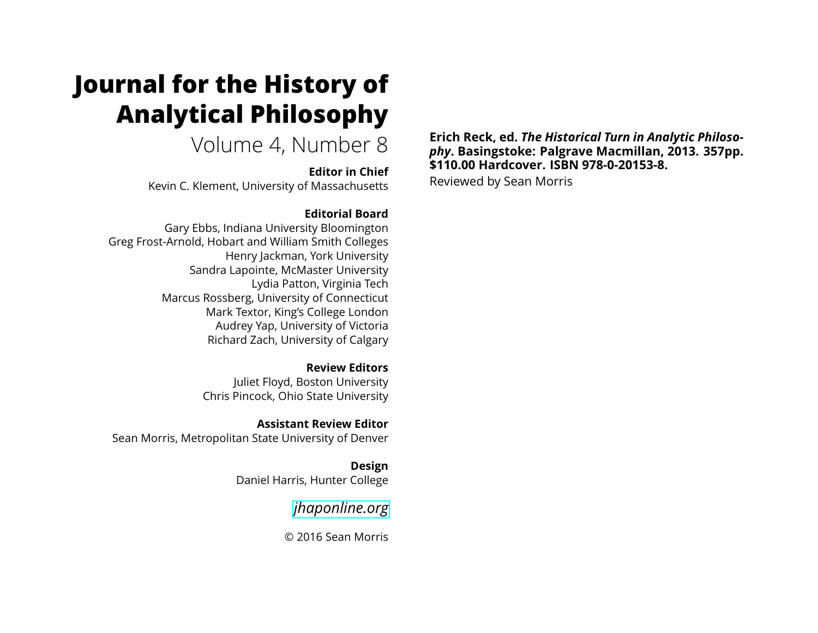# **Journal for the History of Analytical Philosophy**

Volume 4, Number 8

**Editor in Chief** Kevin C. Klement, University of Massachusetts

#### **Editorial Board**

Gary Ebbs, Indiana University Bloomington Greg Frost-Arnold, Hobart and William Smith Colleges Henry Jackman, York University Sandra Lapointe, McMaster University Lydia Patton, Virginia Tech Marcus Rossberg, University of Connecticut Mark Textor, King's College London Audrey Yap, University of Victoria Richard Zach, University of Calgary

> **Review Editors** Juliet Floyd, Boston University Chris Pincock, Ohio State University

**Assistant Review Editor** Sean Morris, Metropolitan State University of Denver

> **Design** Daniel Harris, Hunter College

> > *[jhaponline.org](https://jhaponline.org)*

© 2016 Sean Morris

**Erich Reck, ed.** *The Historical Turn in Analytic Philosophy***. Basingstoke: Palgrave Macmillan, 2013. 357pp. \$110.00 Hardcover. ISBN 978-0-20153-8.**

Reviewed by Sean Morris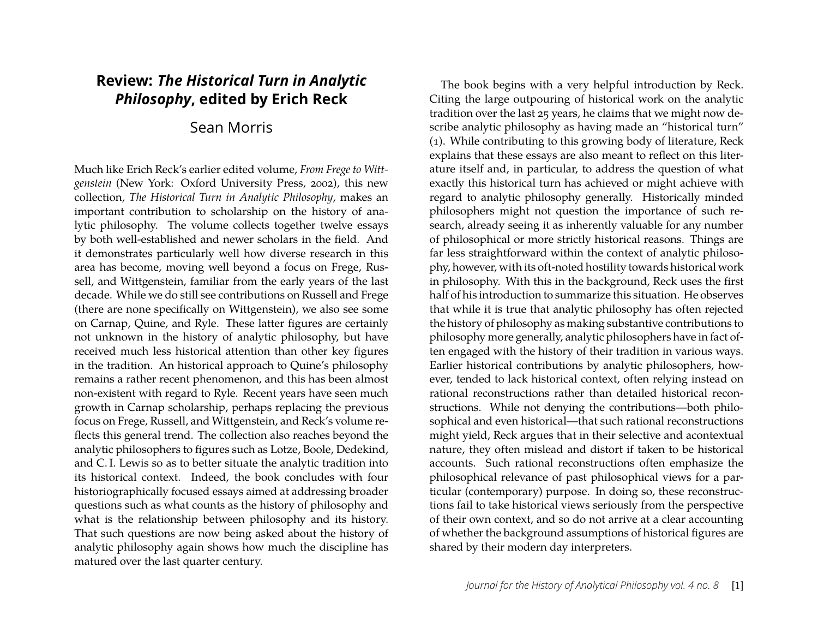## **Review:** *The Historical Turn in Analytic Philosophy***, edited by Erich Reck**

### Sean Morris

Much like Erich Reck's earlier edited volume, *From Frege to Wittgenstein* (New York: Oxford University Press, 2002), this new collection, *The Historical Turn in Analytic Philosophy*, makes an important contribution to scholarship on the history of analytic philosophy. The volume collects together twelve essays by both well-established and newer scholars in the field. And it demonstrates particularly well how diverse research in this area has become, moving well beyond a focus on Frege, Russell, and Wittgenstein, familiar from the early years of the last decade. While we do still see contributions on Russell and Frege (there are none specifically on Wittgenstein), we also see some on Carnap, Quine, and Ryle. These latter figures are certainly not unknown in the history of analytic philosophy, but have received much less historical attention than other key figures in the tradition. An historical approach to Quine's philosophy remains a rather recent phenomenon, and this has been almost non-existent with regard to Ryle. Recent years have seen much growth in Carnap scholarship, perhaps replacing the previous focus on Frege, Russell, and Wittgenstein, and Reck's volume reflects this general trend. The collection also reaches beyond the analytic philosophers to figures such as Lotze, Boole, Dedekind, and C. I. Lewis so as to better situate the analytic tradition into its historical context. Indeed, the book concludes with four historiographically focused essays aimed at addressing broader questions such as what counts as the history of philosophy and what is the relationship between philosophy and its history. That such questions are now being asked about the history of analytic philosophy again shows how much the discipline has matured over the last quarter century.

The book begins with a very helpful introduction by Reck. Citing the large outpouring of historical work on the analytic tradition over the last 25 years, he claims that we might now describe analytic philosophy as having made an "historical turn" (1). While contributing to this growing body of literature, Reck explains that these essays are also meant to reflect on this literature itself and, in particular, to address the question of what exactly this historical turn has achieved or might achieve with regard to analytic philosophy generally. Historically minded philosophers might not question the importance of such research, already seeing it as inherently valuable for any number of philosophical or more strictly historical reasons. Things are far less straightforward within the context of analytic philosophy, however, with its oft-noted hostility towards historical work in philosophy. With this in the background, Reck uses the first half of his introduction to summarize this situation. He observes that while it is true that analytic philosophy has often rejected the history of philosophy as making substantive contributions to philosophy more generally, analytic philosophers have in fact often engaged with the history of their tradition in various ways. Earlier historical contributions by analytic philosophers, however, tended to lack historical context, often relying instead on rational reconstructions rather than detailed historical reconstructions. While not denying the contributions—both philosophical and even historical—that such rational reconstructions might yield, Reck argues that in their selective and acontextual nature, they often mislead and distort if taken to be historical accounts. Such rational reconstructions often emphasize the philosophical relevance of past philosophical views for a particular (contemporary) purpose. In doing so, these reconstructions fail to take historical views seriously from the perspective of their own context, and so do not arrive at a clear accounting of whether the background assumptions of historical figures are shared by their modern day interpreters.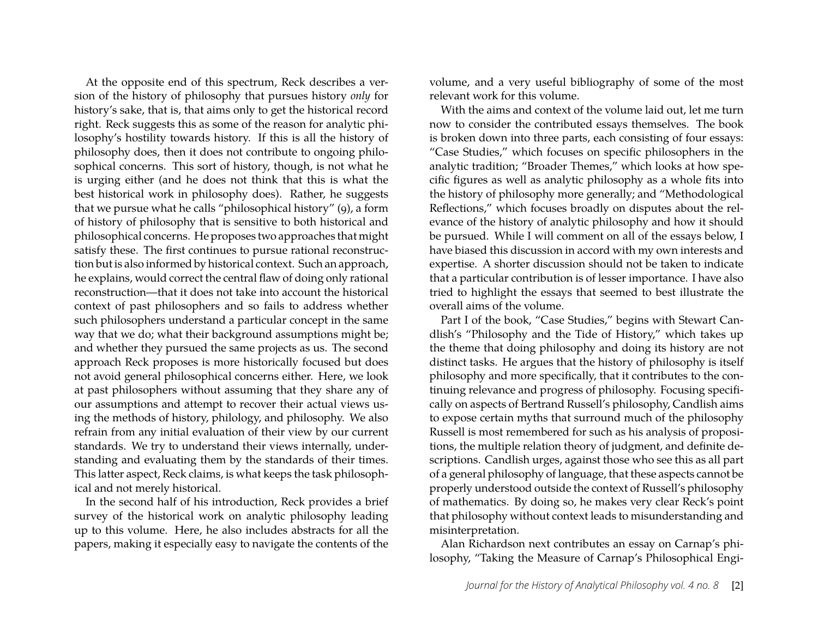At the opposite end of this spectrum, Reck describes a version of the history of philosophy that pursues history *only* for history's sake, that is, that aims only to get the historical record right. Reck suggests this as some of the reason for analytic philosophy's hostility towards history. If this is all the history of philosophy does, then it does not contribute to ongoing philosophical concerns. This sort of history, though, is not what he is urging either (and he does not think that this is what the best historical work in philosophy does). Rather, he suggests that we pursue what he calls "philosophical history" (9), a form of history of philosophy that is sensitive to both historical and philosophical concerns. He proposes two approaches that might satisfy these. The first continues to pursue rational reconstruction but is also informed by historical context. Such an approach, he explains, would correct the central flaw of doing only rational reconstruction—that it does not take into account the historical context of past philosophers and so fails to address whether such philosophers understand a particular concept in the same way that we do; what their background assumptions might be; and whether they pursued the same projects as us. The second approach Reck proposes is more historically focused but does not avoid general philosophical concerns either. Here, we look at past philosophers without assuming that they share any of our assumptions and attempt to recover their actual views using the methods of history, philology, and philosophy. We also refrain from any initial evaluation of their view by our current standards. We try to understand their views internally, understanding and evaluating them by the standards of their times. This latter aspect, Reck claims, is what keeps the task philosophical and not merely historical.

In the second half of his introduction, Reck provides a brief survey of the historical work on analytic philosophy leading up to this volume. Here, he also includes abstracts for all the papers, making it especially easy to navigate the contents of the volume, and a very useful bibliography of some of the most relevant work for this volume.

With the aims and context of the volume laid out, let me turn now to consider the contributed essays themselves. The book is broken down into three parts, each consisting of four essays: "Case Studies," which focuses on specific philosophers in the analytic tradition; "Broader Themes," which looks at how specific figures as well as analytic philosophy as a whole fits into the history of philosophy more generally; and "Methodological Reflections," which focuses broadly on disputes about the relevance of the history of analytic philosophy and how it should be pursued. While I will comment on all of the essays below, I have biased this discussion in accord with my own interests and expertise. A shorter discussion should not be taken to indicate that a particular contribution is of lesser importance. I have also tried to highlight the essays that seemed to best illustrate the overall aims of the volume.

Part I of the book, "Case Studies," begins with Stewart Candlish's "Philosophy and the Tide of History," which takes up the theme that doing philosophy and doing its history are not distinct tasks. He argues that the history of philosophy is itself philosophy and more specifically, that it contributes to the continuing relevance and progress of philosophy. Focusing specifically on aspects of Bertrand Russell's philosophy, Candlish aims to expose certain myths that surround much of the philosophy Russell is most remembered for such as his analysis of propositions, the multiple relation theory of judgment, and definite descriptions. Candlish urges, against those who see this as all part of a general philosophy of language, that these aspects cannot be properly understood outside the context of Russell's philosophy of mathematics. By doing so, he makes very clear Reck's point that philosophy without context leads to misunderstanding and misinterpretation.

Alan Richardson next contributes an essay on Carnap's philosophy, "Taking the Measure of Carnap's Philosophical Engi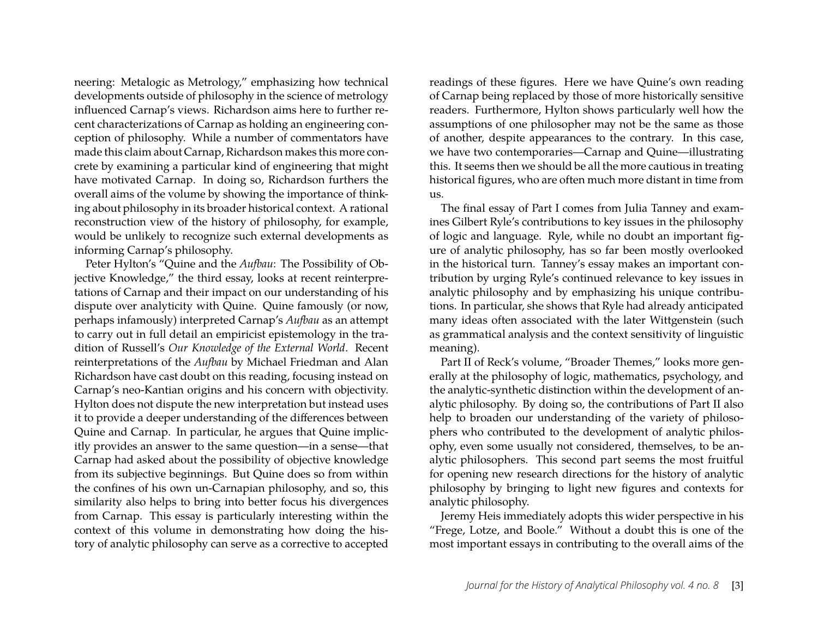neering: Metalogic as Metrology," emphasizing how technical developments outside of philosophy in the science of metrology influenced Carnap's views. Richardson aims here to further recent characterizations of Carnap as holding an engineering conception of philosophy. While a number of commentators have made this claim about Carnap, Richardson makes this more concrete by examining a particular kind of engineering that might have motivated Carnap. In doing so, Richardson furthers the overall aims of the volume by showing the importance of thinking about philosophy in its broader historical context. A rational reconstruction view of the history of philosophy, for example, would be unlikely to recognize such external developments as informing Carnap's philosophy.

Peter Hylton's "Quine and the *Aufbau*: The Possibility of Objective Knowledge," the third essay, looks at recent reinterpretations of Carnap and their impact on our understanding of his dispute over analyticity with Quine. Quine famously (or now, perhaps infamously) interpreted Carnap's *Aufbau* as an attempt to carry out in full detail an empiricist epistemology in the tradition of Russell's *Our Knowledge of the External World*. Recent reinterpretations of the *Aufbau* by Michael Friedman and Alan Richardson have cast doubt on this reading, focusing instead on Carnap's neo-Kantian origins and his concern with objectivity. Hylton does not dispute the new interpretation but instead uses it to provide a deeper understanding of the differences between Quine and Carnap. In particular, he argues that Quine implicitly provides an answer to the same question—in a sense—that Carnap had asked about the possibility of objective knowledge from its subjective beginnings. But Quine does so from within the confines of his own un-Carnapian philosophy, and so, this similarity also helps to bring into better focus his divergences from Carnap. This essay is particularly interesting within the context of this volume in demonstrating how doing the history of analytic philosophy can serve as a corrective to accepted readings of these figures. Here we have Quine's own reading of Carnap being replaced by those of more historically sensitive readers. Furthermore, Hylton shows particularly well how the assumptions of one philosopher may not be the same as those of another, despite appearances to the contrary. In this case, we have two contemporaries—Carnap and Quine—illustrating this. It seems then we should be all the more cautious in treating historical figures, who are often much more distant in time from us.

The final essay of Part I comes from Julia Tanney and examines Gilbert Ryle's contributions to key issues in the philosophy of logic and language. Ryle, while no doubt an important figure of analytic philosophy, has so far been mostly overlooked in the historical turn. Tanney's essay makes an important contribution by urging Ryle's continued relevance to key issues in analytic philosophy and by emphasizing his unique contributions. In particular, she shows that Ryle had already anticipated many ideas often associated with the later Wittgenstein (such as grammatical analysis and the context sensitivity of linguistic meaning).

Part II of Reck's volume, "Broader Themes," looks more generally at the philosophy of logic, mathematics, psychology, and the analytic-synthetic distinction within the development of analytic philosophy. By doing so, the contributions of Part II also help to broaden our understanding of the variety of philosophers who contributed to the development of analytic philosophy, even some usually not considered, themselves, to be analytic philosophers. This second part seems the most fruitful for opening new research directions for the history of analytic philosophy by bringing to light new figures and contexts for analytic philosophy.

Jeremy Heis immediately adopts this wider perspective in his "Frege, Lotze, and Boole." Without a doubt this is one of the most important essays in contributing to the overall aims of the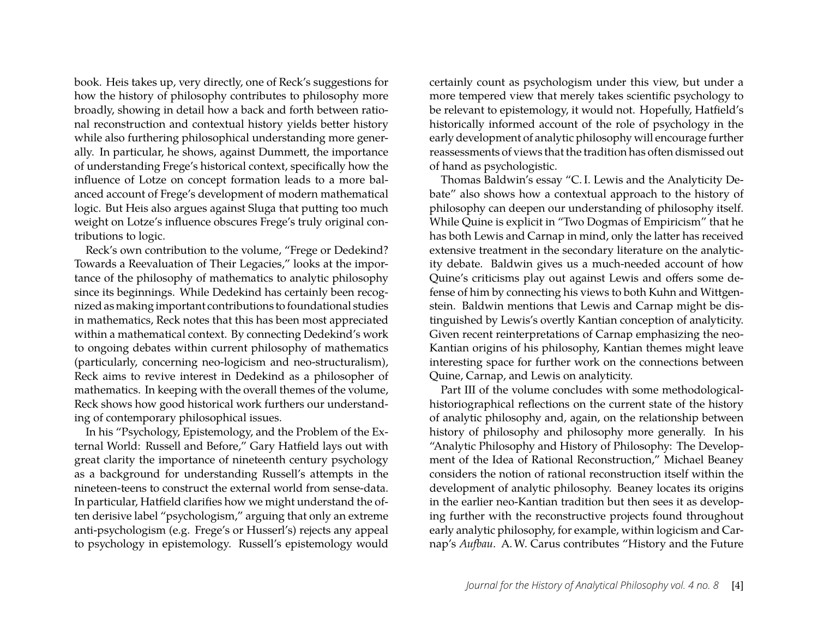book. Heis takes up, very directly, one of Reck's suggestions for how the history of philosophy contributes to philosophy more broadly, showing in detail how a back and forth between rational reconstruction and contextual history yields better history while also furthering philosophical understanding more generally. In particular, he shows, against Dummett, the importance of understanding Frege's historical context, specifically how the influence of Lotze on concept formation leads to a more balanced account of Frege's development of modern mathematical logic. But Heis also argues against Sluga that putting too much weight on Lotze's influence obscures Frege's truly original contributions to logic.

Reck's own contribution to the volume, "Frege or Dedekind? Towards a Reevaluation of Their Legacies," looks at the importance of the philosophy of mathematics to analytic philosophy since its beginnings. While Dedekind has certainly been recognized as making important contributions to foundational studies in mathematics, Reck notes that this has been most appreciated within a mathematical context. By connecting Dedekind's work to ongoing debates within current philosophy of mathematics (particularly, concerning neo-logicism and neo-structuralism), Reck aims to revive interest in Dedekind as a philosopher of mathematics. In keeping with the overall themes of the volume, Reck shows how good historical work furthers our understanding of contemporary philosophical issues.

In his "Psychology, Epistemology, and the Problem of the External World: Russell and Before," Gary Hatfield lays out with great clarity the importance of nineteenth century psychology as a background for understanding Russell's attempts in the nineteen-teens to construct the external world from sense-data. In particular, Hatfield clarifies how we might understand the often derisive label "psychologism," arguing that only an extreme anti-psychologism (e.g. Frege's or Husserl's) rejects any appeal to psychology in epistemology. Russell's epistemology would

certainly count as psychologism under this view, but under a more tempered view that merely takes scientific psychology to be relevant to epistemology, it would not. Hopefully, Hatfield's historically informed account of the role of psychology in the early development of analytic philosophy will encourage further reassessments of views that the tradition has often dismissed out of hand as psychologistic.

Thomas Baldwin's essay "C. I. Lewis and the Analyticity Debate" also shows how a contextual approach to the history of philosophy can deepen our understanding of philosophy itself. While Quine is explicit in "Two Dogmas of Empiricism" that he has both Lewis and Carnap in mind, only the latter has received extensive treatment in the secondary literature on the analyticity debate. Baldwin gives us a much-needed account of how Quine's criticisms play out against Lewis and offers some defense of him by connecting his views to both Kuhn and Wittgenstein. Baldwin mentions that Lewis and Carnap might be distinguished by Lewis's overtly Kantian conception of analyticity. Given recent reinterpretations of Carnap emphasizing the neo-Kantian origins of his philosophy, Kantian themes might leave interesting space for further work on the connections between Quine, Carnap, and Lewis on analyticity.

Part III of the volume concludes with some methodologicalhistoriographical reflections on the current state of the history of analytic philosophy and, again, on the relationship between history of philosophy and philosophy more generally. In his "Analytic Philosophy and History of Philosophy: The Development of the Idea of Rational Reconstruction," Michael Beaney considers the notion of rational reconstruction itself within the development of analytic philosophy. Beaney locates its origins in the earlier neo-Kantian tradition but then sees it as developing further with the reconstructive projects found throughout early analytic philosophy, for example, within logicism and Carnap's *Aufbau*. A.W. Carus contributes "History and the Future